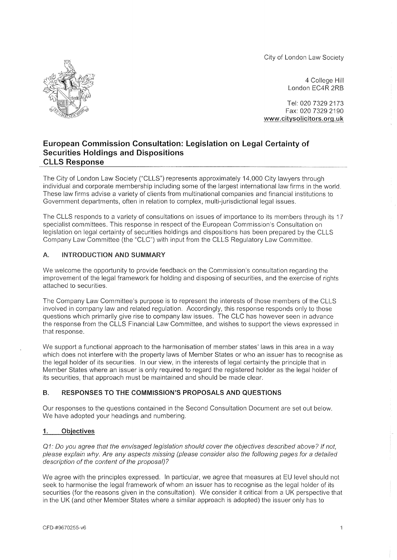City of London Law Society



4 College Hill London EC4R 2RB

Tel: 020 7329 2173 Fax: 020 7329 2190 [www.citvsolicitors.org.uk](http://www.citvsolicitors.org.uk) 

# European Commission Consultation: Legislation on Legal Certainty of Securities Holdings and Dispositions CLLS Response

The City of London Law Society ("CLLS") represents approximately 14,000 City lawyers through individual and corporate membership including some of the largest international law firms in the world. These law firms advise a variety of clients from multinational companies and financial institutions to Government departments, often in relation to complex, multi-jurisdictional legal issues.

The CLLS responds to a variety of consultations on issues of importance to its members through its 17 specialist committees. This response in respect of the European Commission's Consultation on legislation on legal certainty of securities holdings and dispositions has been prepared by the CLLS Company Law Committee (the "CLC") with input from the CLLS Regulatory Law Committee.

# A. INTRODUCTION AND SUMMARY

We welcome the opportunity to provide feedback on the Commission's consultation regarding the improvement of the legal framework for holding and disposing of securities, and the exercise of rights attached to securities.

The Company Law Committee's purpose is to represent the interests of those members of the CLLS involved in company law and related regulation. Accordingly, this response responds only to those questions which primarily give rise to company law issues. The CLC has however seen in advance the response from the CLLS Financial Law Committee, and wishes to support the views expressed in that response.

We support a functional approach to the harmonisation of member states' laws in this area in a way which does not interfere with the property laws of Member States or who an issuer has to recognise as the legal holder of its securities. In our view, in the interests of legal certainty the principle that in Member States where an issuer is only required to regard the registered holder as the legal holder of its securities, that approach must be maintained and should be made clear.

# B. **RESPONSES TO THE COMMISSION'S PROPOSALS AND QUESTIONS**

Our responses to the questions contained in the Second Consultation Document are set out below. We have adopted your headings and numbering.

# **1. Objectives**

Q1: Do you agree that the envisaged legislation should cover the objectives described above? If not, please explain why. Are any aspects missing (please consider also the following pages for a detailed description of the content of the proposal) ?

We agree with the principles expressed. In particular, we agree that measures at EU level should not seek to harmonise the legal framework of whom an issuer has to recognise as the legal holder of its securities (for the reasons given in the consultation). We consider it critical from a UK perspective that in the UK (and other Member States where a similar approach is adopted) the issuer only has to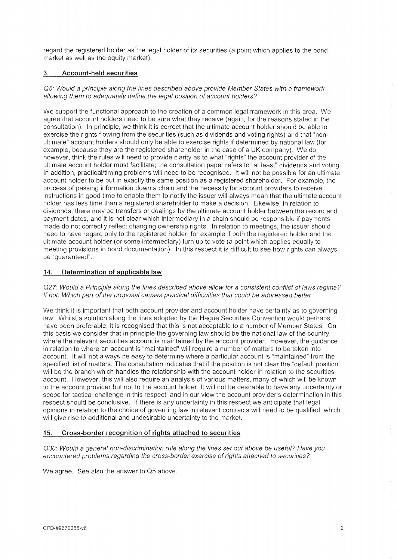regard the registered holder as the legal holder of its securities (a point which applies to the bond market as well as the equity market).

## **3. Account-held securities**

Q5: Would a principle along the lines described above provide Member States with a framework allowing them to adequately define the legal position of account holders?

We support the functional approach to the creation of a common legal framework in this area. We agree that account holders need to be sure what they receive (again, for the reasons stated in the consultation). In principle, we think it is correct that the ultimate account holder should be able to exercise the rights flowing from the securities (such as dividends and voting rights) and that "nonultimate" account holders should only be able to exercise rights if determined by national law (for example, because they are the registered shareholder in the case of a UK company). We do, however, think the rules will need to provide clarity as to what "rights" the account provider of the ultimate account holder must facilitate; the consultation paper refers to "at least" dividends and voting. In addition, practical/timing problems will need to be recognised. It will not be possible for an ultimate account holder to be put in exactly the same position as a registered shareholder. For example, the process of passing information down a chain and the necessity for account providers to receive instructions in good time to enable them to notify the issuer will always mean that the ultimate account holder has less time than a registered shareholder to make a decision. Likewise, in relation to dividends, there may be transfers or dealings by the ultimate account holder between the record and payment dates, and it is not clear which intermediary in a chain should be responsible if payments made do not correctly reflect changing ownership rights. In relation to meetings, the issuer should need to have regard only to the registered holder, for example if both the registered holder and the ultimate account holder (or some intermediary) turn up to vote (a point which applies equally to meeting provisions in bond documentation). In this respect it is difficult to see how rights can always be "guaranteed".

### 14. **Determination of applicable law**

Q27: Would a Principle along the lines described above allow for a consistent conflict of laws regime? If not: Which part of the proposal causes practical difficulties that could be addressed better

We think it is important that both account provider and account holder have certainty as to governing law. Whilst a solution along the lines adopted by the Hague Securities Convention would perhaps have been preferable, it is recognised that this is not acceptable to a number of Member States. On this basis we consider that in principle the governing law should be the national law of the country where the relevant securities account is maintained by the account provider. However, the guidance in relation to where an account is "maintained" will require a number of matters to be taken into account. It will not always be easy to determine where a particular account is "maintained" from the specified list of matters. The consultation indicates that if the position is not clear the "default position" will be the branch which handles the relationship with the account holder in relation to the securities account. However, this will also require an analysis of various matters, many of which will be known to the account provider but not to the account holder. It will not be desirable to have any uncertainty or scope for tactical challenge in this respect, and in our view the account provider's determination in this respect should be conclusive. If there is any uncertainty in this respect we anticipate that legal opinions in relation to the choice of governing law in relevant contracts will need to be qualified, which will give rise to additional and undesirable uncertainty to the market.

### **15. Cross-border recognition of rights attached to securities**

Q30: Would a general non-discrimination rule along the lines set out above be useful? Have you encountered problems regarding the cross-border exercise of rights attached to securities?

We agree. See also the answer to Q5 above.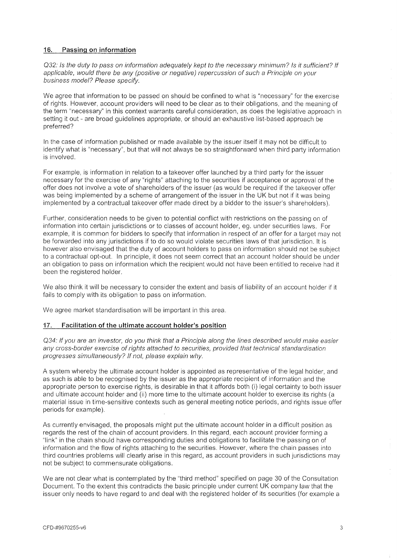## **16. Passing on information**

Q32: Is the duty to pass on information adequately kept to the necessary minimum? Is it sufficient? If applicable, would there be any (positive or negative) repercussion of such a Principle on your business model? Please specify.

We agree that information to be passed on should be confined to what is "necessary" for the exercise of rights. However, account providers will need to be clear as to their obligations, and the meaning of the term "necessary" in this context warrants careful consideration, as does the legislative approach in setting it out - are broad guidelines appropriate, or should an exhaustive list-based approach be preferred?

In the case of information published or made available by the issuer itself it may not be difficult to identify what is "necessary", but that will not always be so straightforward when third party information is involved,

For example, is information in relation to a takeover offer launched by a third party for the issuer necessary for the exercise of any "rights" attaching to the securities if acceptance or approval of the offer does not involve a vote of shareholders of the issuer (as would be required if the takeover offer was being implemented by a scheme of arrangement of the issuer in the UK but not if it was being implemented by a contractual takeover offer made direct by a bidder to the issuer's shareholders).

Further, consideration needs to be given to potential conflict with restrictions on the passing on of information into certain jurisdictions or to classes of account holder, eg. under securities laws. For example, it is common for bidders to specify that information in respect of an offer for a target may not be forwarded into any jurisdictions if to do so would violate securities laws of that jurisdiction. It is however also envisaged that the duty of account holders to pass on information should not be subject to a contractual opt-out. In principle, it does not seem correct that an account holder should be under an obligation to pass on information which the recipient would not have been entitled to receive had it been the registered holder.

We also think it will be necessary to consider the extent and basis of liability of an account holder if it fails to comply with its obligation to pass on information.

We agree market standardisation will be important in this area.

### 17. **Facilitation of the ultimate account holder's position**

Q34: If you are an investor, do you think that a Principle along the lines described would make easier any cross-border exercise of rights attached to securities, provided that technical standardisation progresses simultaneously? If not, please explain why.

A system whereby the ultimate account holder is appointed as representative of the legal holder, and as such is able to be recognised by the issuer as the appropriate recipient of information and the appropriate person to exercise rights, is desirable in that it affords both (i) legal certainty to both issuer and ultimate account holder and (ii) more time to the ultimate account holder to exercise its rights (a material issue in time-sensitive contexts such as general meeting notice periods, and rights issue offer periods for example).

As currently envisaged, the proposals might put the ultimate account holder in a difficult position as regards the rest of the chain of account providers. In this regard, each account provider forming a "link" in the chain should have corresponding duties and obligations to facilitate the passing on of information and the flow of rights attaching to the securities. However, where the chain passes into third countries problems will clearly arise in this regard, as account providers in such jurisdictions may not be subject to commensurate obligations.

We are not clear what is contemplated by the "third method" specified on page 30 of the Consultation Document. To the extent this contradicts the basic principle under current UK company law that the issuer only needs to have regard to and deal with the registered holder of its securities (for example a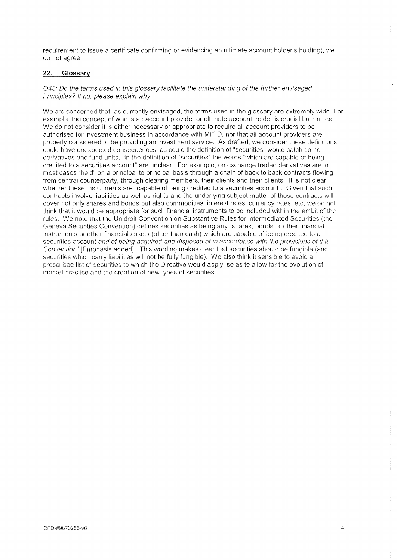requirement to issue a certificate confirming or evidencing an ultimate account holder's holding), we do not agree.

### **22. Glossary**

#### Q43: Do the terms used in this glossary facilitate the understanding of the further envisaged Principles? If no, please explain why.

We are concerned that, as currently envisaged, the terms used in the glossary are extremely wide. For example, the concept of who is an account provider or ultimate account holder is crucial but unclear. We do not consider it is either necessary or appropriate to require all account providers to be authorised for investment business in accordance with MiFID, nor that all account providers are properly considered to be providing an investment service. As drafted, we consider these definitions could have unexpected consequences, as could the definition of "securities" would catch some derivatives and fund units. In the definition of "securities" the words "which are capable of being credited to a securities account" are unclear. For example, on exchange traded derivatives are in most cases "held" on a principal to principal basis through a chain of back to back contracts flowing from central counterparty, through clearing members, their clients and their clients. It is not clear whether these instruments are "capable of being credited to a securities account". Given that such contracts involve liabilities as well as rights and the underlying subject matter of those contracts will cover not only shares and bonds but also commodities, interest rates, currency rates, etc, we do not think that it would be appropriate for such financial instruments to be included within the ambit of the rules. We note that the Unidroit Convention on Substantive Rules for Intermediated Securities (the Geneva Securities Convention) defines securities as being any "shares, bonds or other financial instruments or other financial assets (other than cash) which are capable of being credited to a securities account and of being acquired and disposed of in accordance with the provisions of this Convention" [Emphasis added]. This wording makes clear that securities should be fungible (and securities which carry liabilities will not be fully fungible). We also think it sensible to avoid a prescribed list of securities to which the Directive would apply, so as to allow for the evolution of market practice and the creation of new types of securities.